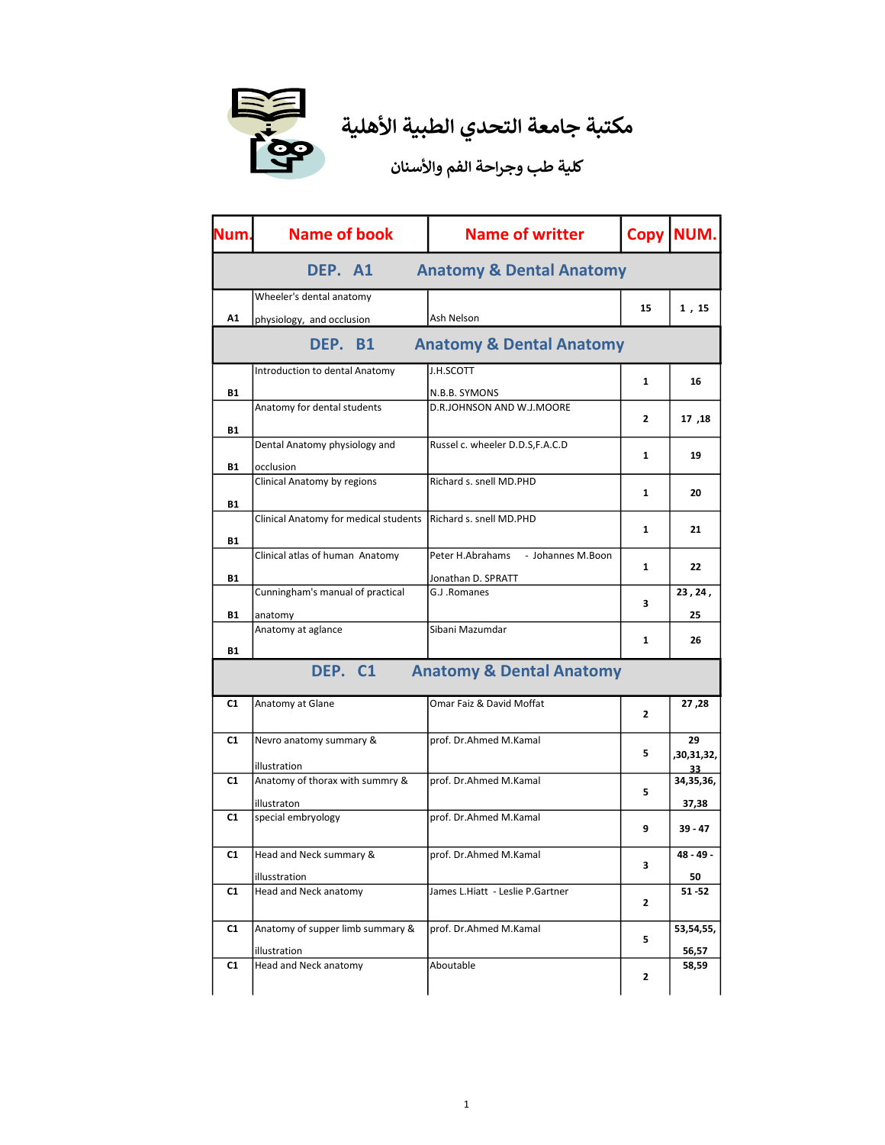

| Num.      | <b>Name of book</b>                   | <b>Name of writter</b>                | <b>Copy</b>  | NUM.                                 |
|-----------|---------------------------------------|---------------------------------------|--------------|--------------------------------------|
|           | DEP. A1                               | <b>Anatomy &amp; Dental Anatomy</b>   |              |                                      |
|           | Wheeler's dental anatomy              |                                       |              |                                      |
| A1        | physiology, and occlusion             | Ash Nelson                            | 15           | 1,15                                 |
|           | DEP. B1                               | <b>Anatomy &amp; Dental Anatomy</b>   |              |                                      |
|           | Introduction to dental Anatomy        | J.H.SCOTT                             |              |                                      |
| <b>B1</b> |                                       | N.B.B. SYMONS                         | $\mathbf{1}$ | 16                                   |
|           | Anatomy for dental students           | D.R.JOHNSON AND W.J.MOORE             |              |                                      |
| <b>B1</b> |                                       |                                       | 2            | 17,18                                |
|           | Dental Anatomy physiology and         | Russel c. wheeler D.D.S,F.A.C.D       |              |                                      |
| <b>B1</b> | occlusion                             |                                       | $\mathbf{1}$ | 19                                   |
|           | Clinical Anatomy by regions           | Richard s. snell MD.PHD               |              |                                      |
|           |                                       |                                       | 1            | 20                                   |
| <b>B1</b> | Clinical Anatomy for medical students | Richard s. snell MD.PHD               |              |                                      |
|           |                                       |                                       | 1            | 21                                   |
| <b>B1</b> |                                       |                                       |              |                                      |
|           | Clinical atlas of human Anatomy       | Peter H.Abrahams<br>- Johannes M.Boon | 1            | 22                                   |
| <b>B1</b> |                                       | Jonathan D. SPRATT                    |              |                                      |
|           | Cunningham's manual of practical      | G.J.Romanes                           | з            | 23, 24,                              |
| <b>B1</b> | anatomy                               |                                       |              | 25                                   |
|           | Anatomy at aglance                    | Sibani Mazumdar                       |              |                                      |
| B1        |                                       |                                       | 1            | 26                                   |
|           | DEP. C1                               | <b>Anatomy &amp; Dental Anatomy</b>   |              |                                      |
| C1        |                                       | Omar Faiz & David Moffat              |              |                                      |
|           |                                       |                                       |              |                                      |
|           | Anatomy at Glane                      |                                       | 2            | 27 ,28                               |
|           |                                       |                                       |              |                                      |
| C1        | Nevro anatomy summary &               | prof. Dr.Ahmed M.Kamal                | 5            | 29                                   |
|           | illustration                          |                                       |              | 33                                   |
| C1        | Anatomy of thorax with summry &       | prof. Dr.Ahmed M.Kamal                |              |                                      |
|           | illustraton                           |                                       | 5            | 37,38                                |
| C1        | special embryology                    | prof. Dr.Ahmed M.Kamal                |              |                                      |
|           |                                       |                                       | 9            | 39 - 47                              |
| C1        | Head and Neck summary &               | prof. Dr.Ahmed M.Kamal                |              | 48 - 49 -                            |
|           |                                       |                                       | 3            |                                      |
|           | illusstration                         |                                       |              | 50                                   |
| C1        | Head and Neck anatomy                 | James L.Hiatt - Leslie P.Gartner      | 2            | $51 - 52$                            |
| C1        | Anatomy of supper limb summary &      | prof. Dr.Ahmed M.Kamal                |              |                                      |
|           |                                       |                                       | 5            | ,30,31,32,<br>34,35,36,<br>53,54,55, |
| C1        | illustration<br>Head and Neck anatomy | Aboutable                             |              | 56,57<br>58,59                       |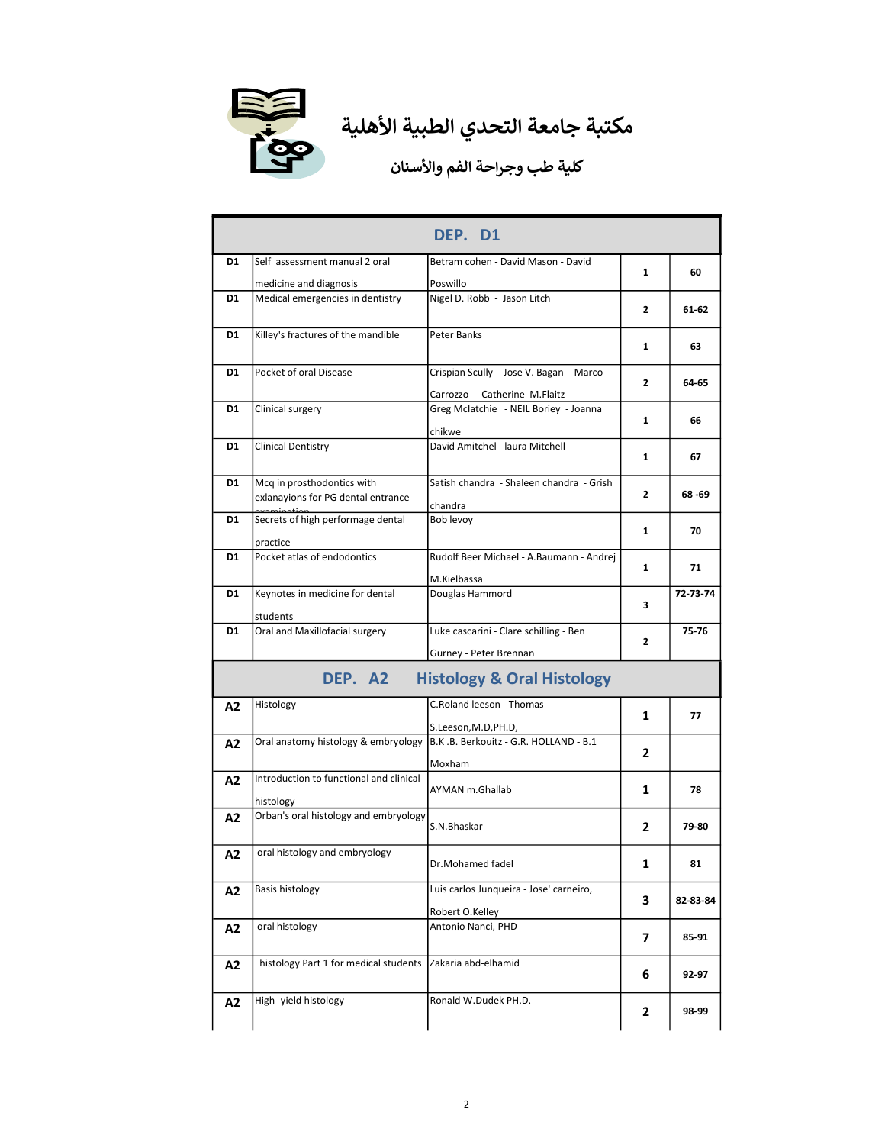

|    |                                                                  | DEP. D1                                                                  |                |          |
|----|------------------------------------------------------------------|--------------------------------------------------------------------------|----------------|----------|
| D1 | Self assessment manual 2 oral                                    | Betram cohen - David Mason - David                                       | 1              | 60       |
|    | medicine and diagnosis                                           | Poswillo                                                                 |                |          |
| D1 | Medical emergencies in dentistry                                 | Nigel D. Robb - Jason Litch                                              | $\mathbf{2}$   | 61-62    |
| D1 | Killey's fractures of the mandible                               | Peter Banks                                                              | 1              | 63       |
| D1 | Pocket of oral Disease                                           | Crispian Scully - Jose V. Bagan - Marco<br>Carrozzo - Catherine M.Flaitz | $\overline{2}$ | 64-65    |
| D1 | Clinical surgery                                                 | Greg Mclatchie - NEIL Boriey - Joanna<br>chikwe                          | 1              | 66       |
| D1 | <b>Clinical Dentistry</b>                                        | David Amitchel - laura Mitchell                                          | 1              | 67       |
| D1 | Mcq in prosthodontics with<br>exlanayions for PG dental entrance | Satish chandra - Shaleen chandra - Grish<br>chandra                      | 2              | 68 -69   |
| D1 | Secrets of high performage dental<br>practice                    | Bob levoy                                                                | 1              | 70       |
| D1 | Pocket atlas of endodontics                                      | Rudolf Beer Michael - A.Baumann - Andrej<br>M.Kielbassa                  | 1              | 71       |
| D1 | Keynotes in medicine for dental<br>students                      | Douglas Hammord                                                          | з              | 72-73-74 |
| D1 | Oral and Maxillofacial surgery                                   | Luke cascarini - Clare schilling - Ben<br>Gurney - Peter Brennan         | 2              | 75-76    |
|    | DEP. A2                                                          | <b>Histology &amp; Oral Histology</b>                                    |                |          |
| A2 | Histology                                                        | C.Roland leeson -Thomas<br>S.Leeson, M.D, PH.D,                          | 1              | 77       |
| A2 | Oral anatomy histology & embryology                              | B.K.B. Berkouitz - G.R. HOLLAND - B.1<br>Moxham                          | 2              |          |
| A2 | Introduction to functional and clinical<br>histology             | AYMAN m.Ghallab                                                          | 1              | 78       |
| А2 | Orban's oral histology and embryology                            | S.N.Bhaskar                                                              | 2              | 79-80    |
| A2 | oral histology and embryology                                    | Dr.Mohamed fadel                                                         | 1              | 81       |
| A2 | Basis histology                                                  | Luis carlos Junqueira - Jose' carneiro,<br>Robert O.Kelley               | 3              | 82-83-84 |
| A2 | oral histology                                                   | Antonio Nanci, PHD                                                       | 7              | 85-91    |
| A2 | histology Part 1 for medical students                            | Zakaria abd-elhamid                                                      | 6              | 92-97    |
| A2 | High-yield histology                                             | Ronald W.Dudek PH.D.                                                     | 2              | 98-99    |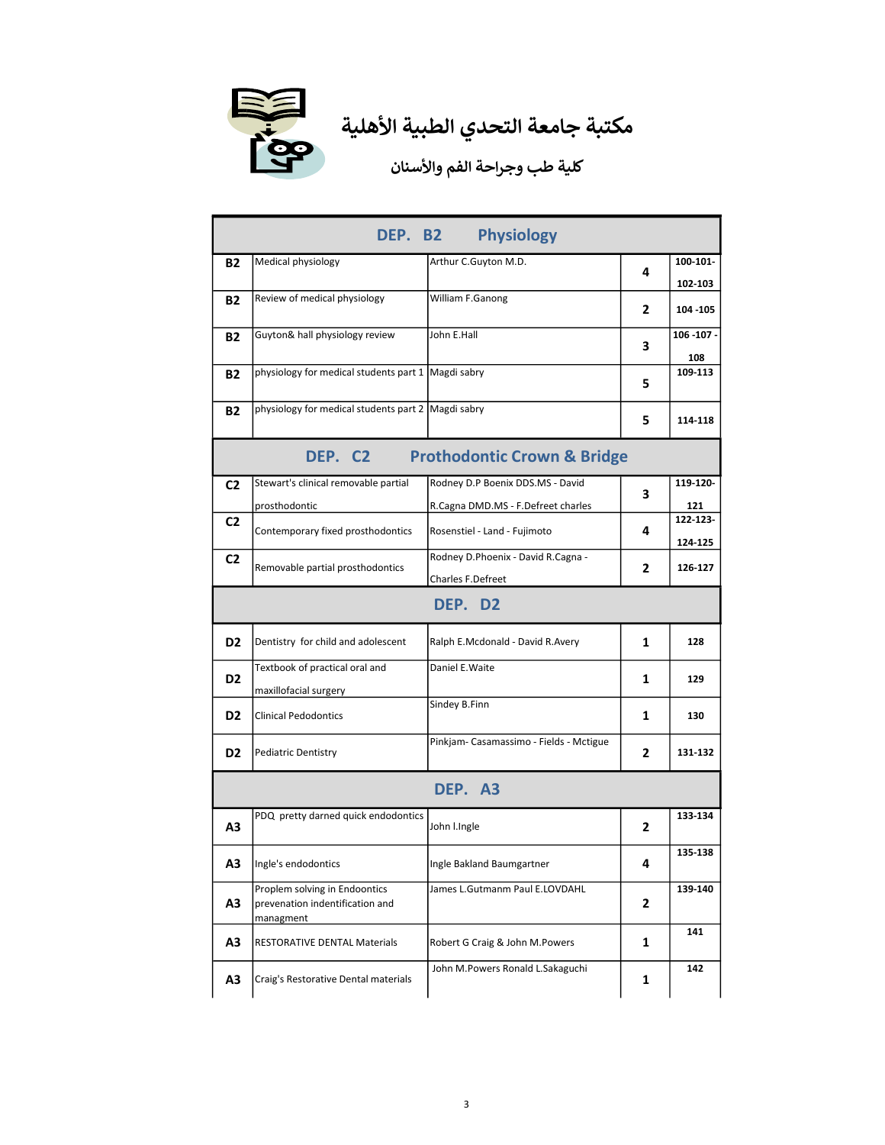

| DEP. B2<br><b>Physiology</b> |                                                                               |                                                                        |   |                     |  |  |
|------------------------------|-------------------------------------------------------------------------------|------------------------------------------------------------------------|---|---------------------|--|--|
| <b>B2</b>                    | Medical physiology                                                            | Arthur C.Guyton M.D.                                                   | 4 | 100-101-<br>102-103 |  |  |
| B2                           | Review of medical physiology                                                  | William F.Ganong                                                       | 2 | 104 - 105           |  |  |
| B2                           | Guyton& hall physiology review                                                | John E.Hall                                                            | 3 | 106 - 107 -<br>108  |  |  |
| <b>B2</b>                    | physiology for medical students part 1   Magdi sabry                          |                                                                        | 5 | 109-113             |  |  |
| <b>B2</b>                    | physiology for medical students part 2 Magdi sabry                            |                                                                        | 5 | 114-118             |  |  |
|                              | DEP. C2                                                                       | <b>Prothodontic Crown &amp; Bridge</b>                                 |   |                     |  |  |
| C <sub>2</sub>               | Stewart's clinical removable partial<br>prosthodontic                         | Rodney D.P Boenix DDS.MS - David<br>R.Cagna DMD.MS - F.Defreet charles | 3 | 119-120-<br>121     |  |  |
| C <sub>2</sub>               | Contemporary fixed prosthodontics                                             | Rosenstiel - Land - Fujimoto                                           | 4 | 122-123-<br>124-125 |  |  |
| C <sub>2</sub>               | Removable partial prosthodontics                                              | Rodney D.Phoenix - David R.Cagna -<br>Charles F.Defreet                | 2 | 126-127             |  |  |
|                              | DEP. D2                                                                       |                                                                        |   |                     |  |  |
| D <sub>2</sub>               | Dentistry for child and adolescent                                            | Ralph E.Mcdonald - David R.Avery                                       | 1 | 128                 |  |  |
| D <sub>2</sub>               | Textbook of practical oral and<br>maxillofacial surgery                       | Daniel E. Waite                                                        | 1 | 129                 |  |  |
| D <sub>2</sub>               | <b>Clinical Pedodontics</b>                                                   | Sindey B.Finn                                                          | 1 | 130                 |  |  |
| D <sub>2</sub>               | <b>Pediatric Dentistry</b>                                                    | Pinkjam-Casamassimo - Fields - Mctigue                                 | 2 | 131-132             |  |  |
|                              | DEP. A3                                                                       |                                                                        |   |                     |  |  |
| А3                           | PDQ pretty darned quick endodontics                                           | John I.Ingle                                                           | 2 | 133-134             |  |  |
| А3                           | Ingle's endodontics                                                           | Ingle Bakland Baumgartner                                              | 4 | 135-138             |  |  |
| A3                           | Proplem solving in Endoontics<br>prevenation indentification and<br>managment | James L.Gutmanm Paul E.LOVDAHL                                         | 2 | 139-140             |  |  |
| A3                           | <b>RESTORATIVE DENTAL Materials</b>                                           | Robert G Craig & John M.Powers                                         | 1 | 141                 |  |  |
| A3                           | Craig's Restorative Dental materials                                          | John M.Powers Ronald L.Sakaguchi                                       | 1 | 142                 |  |  |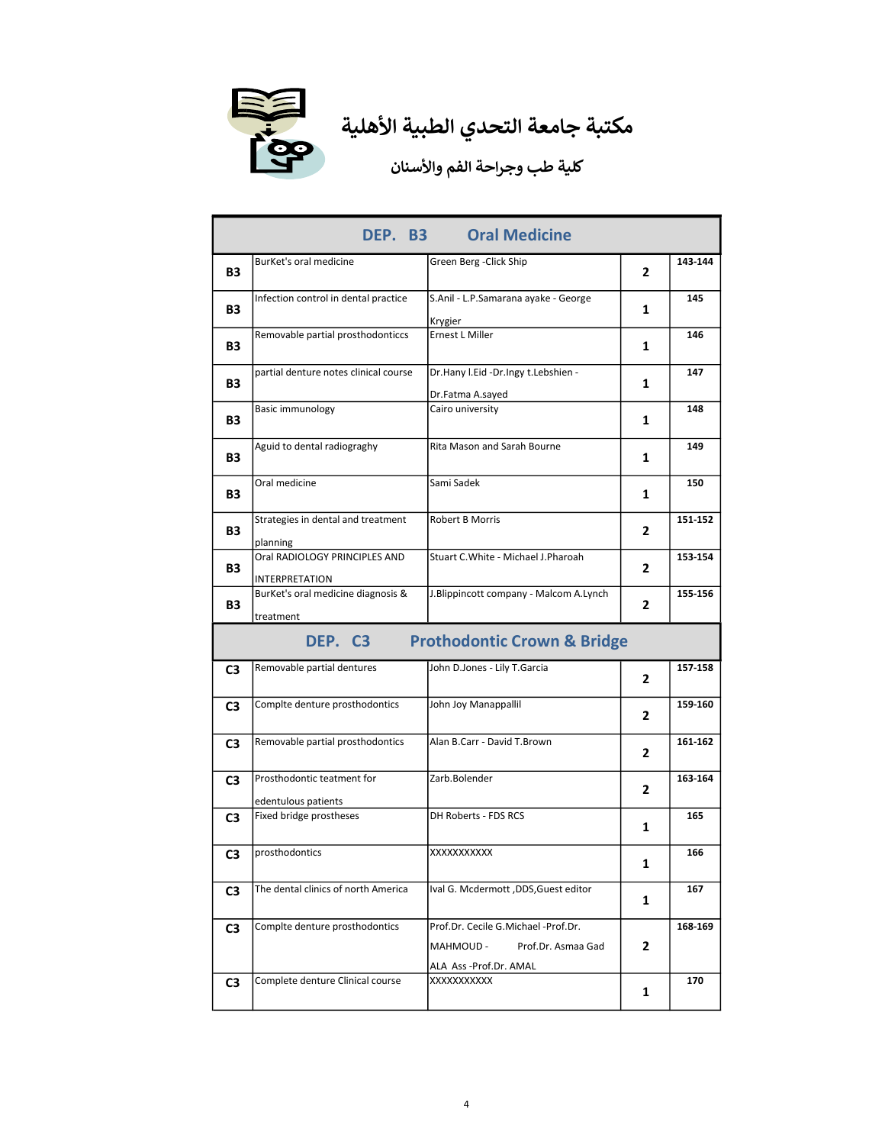

| <b>Oral Medicine</b><br>DEP. B3 |                                                        |                                                                                                 |                |         |
|---------------------------------|--------------------------------------------------------|-------------------------------------------------------------------------------------------------|----------------|---------|
| <b>B3</b>                       | BurKet's oral medicine                                 | Green Berg - Click Ship                                                                         | $\overline{2}$ | 143-144 |
| <b>B3</b>                       | Infection control in dental practice                   | S.Anil - L.P.Samarana ayake - George<br>Krygier                                                 | 1              | 145     |
| <b>B3</b>                       | Removable partial prosthodonticcs                      | <b>Ernest L Miller</b>                                                                          | 1              | 146     |
| B3                              | partial denture notes clinical course                  | Dr.Hany I.Eid -Dr.Ingy t.Lebshien -<br>Dr.Fatma A.sayed                                         | 1              | 147     |
| <b>B3</b>                       | Basic immunology                                       | Cairo university                                                                                | 1              | 148     |
| B3                              | Aguid to dental radiograghy                            | Rita Mason and Sarah Bourne                                                                     | 1              | 149     |
| B3                              | Oral medicine                                          | Sami Sadek                                                                                      | 1              | 150     |
| B3                              | Strategies in dental and treatment<br>planning         | <b>Robert B Morris</b>                                                                          | 2              | 151-152 |
| <b>B3</b>                       | Oral RADIOLOGY PRINCIPLES AND<br><b>INTERPRETATION</b> | Stuart C.White - Michael J.Pharoah                                                              | 2              | 153-154 |
| B3                              | BurKet's oral medicine diagnosis &<br>treatment        | J.Blippincott company - Malcom A.Lynch                                                          | 2              | 155-156 |
|                                 | DEP. C3                                                | <b>Prothodontic Crown &amp; Bridge</b>                                                          |                |         |
| C3                              | Removable partial dentures                             | John D.Jones - Lily T.Garcia                                                                    | 2              | 157-158 |
| C3                              | Complte denture prosthodontics                         | John Joy Manappallil                                                                            | 2              | 159-160 |
| C3                              | Removable partial prosthodontics                       | Alan B.Carr - David T.Brown                                                                     | 2              | 161-162 |
| C3                              | Prosthodontic teatment for<br>edentulous patients      | Zarb.Bolender                                                                                   | $\mathbf{2}$   | 163-164 |
| C3                              | Fixed bridge prostheses                                | DH Roberts - FDS RCS                                                                            | 1              | 165     |
| C3                              | prosthodontics                                         | XXXXXXXXXX                                                                                      | 1              | 166     |
|                                 |                                                        |                                                                                                 |                |         |
| C3                              | The dental clinics of north America                    | Ival G. Mcdermott ,DDS, Guest editor                                                            | 1              | 167     |
| C <sub>3</sub>                  | Complte denture prosthodontics                         | Prof.Dr. Cecile G.Michael -Prof.Dr.<br>MAHMOUD -<br>Prof.Dr. Asmaa Gad<br>ALA Ass-Prof.Dr. AMAL | $\mathbf{2}$   | 168-169 |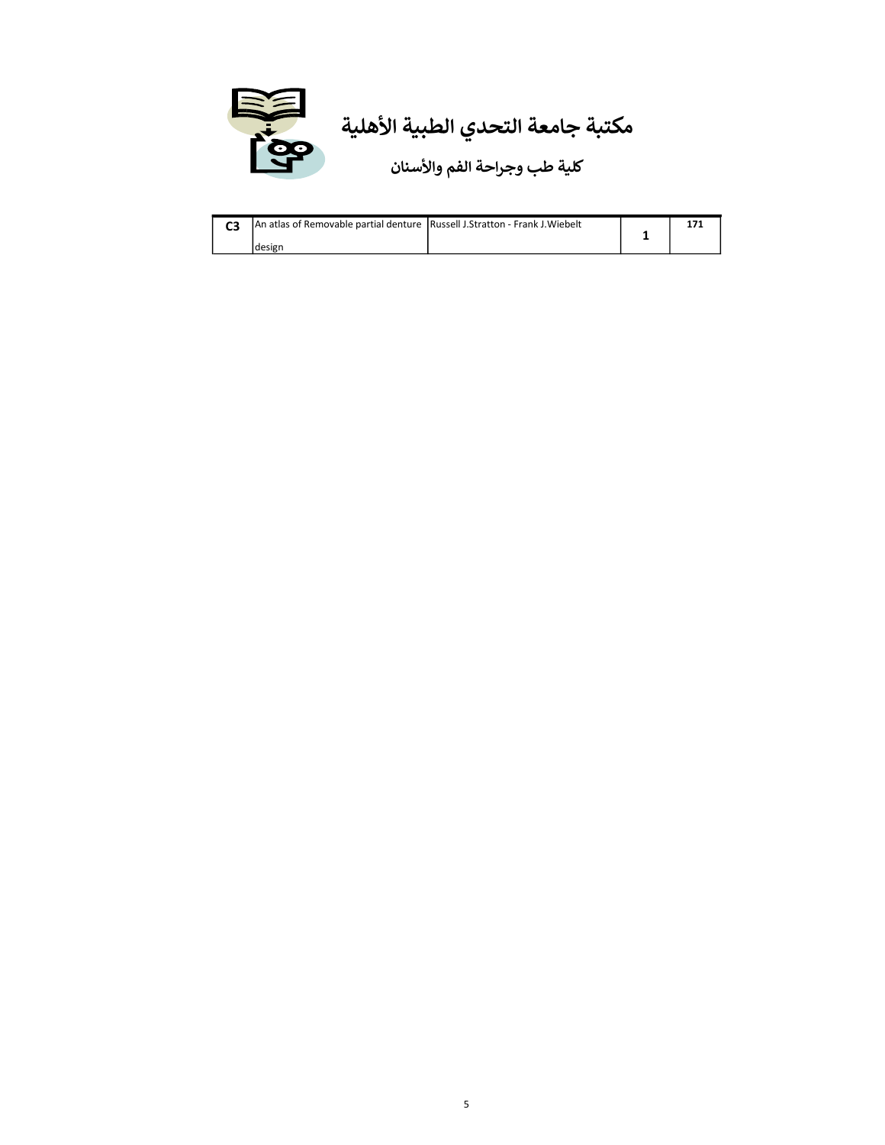

|  | An atlas of Removable partial denture Russell J.Stratton - Frank J.Wiebelt |  |  |
|--|----------------------------------------------------------------------------|--|--|
|  | Idesign                                                                    |  |  |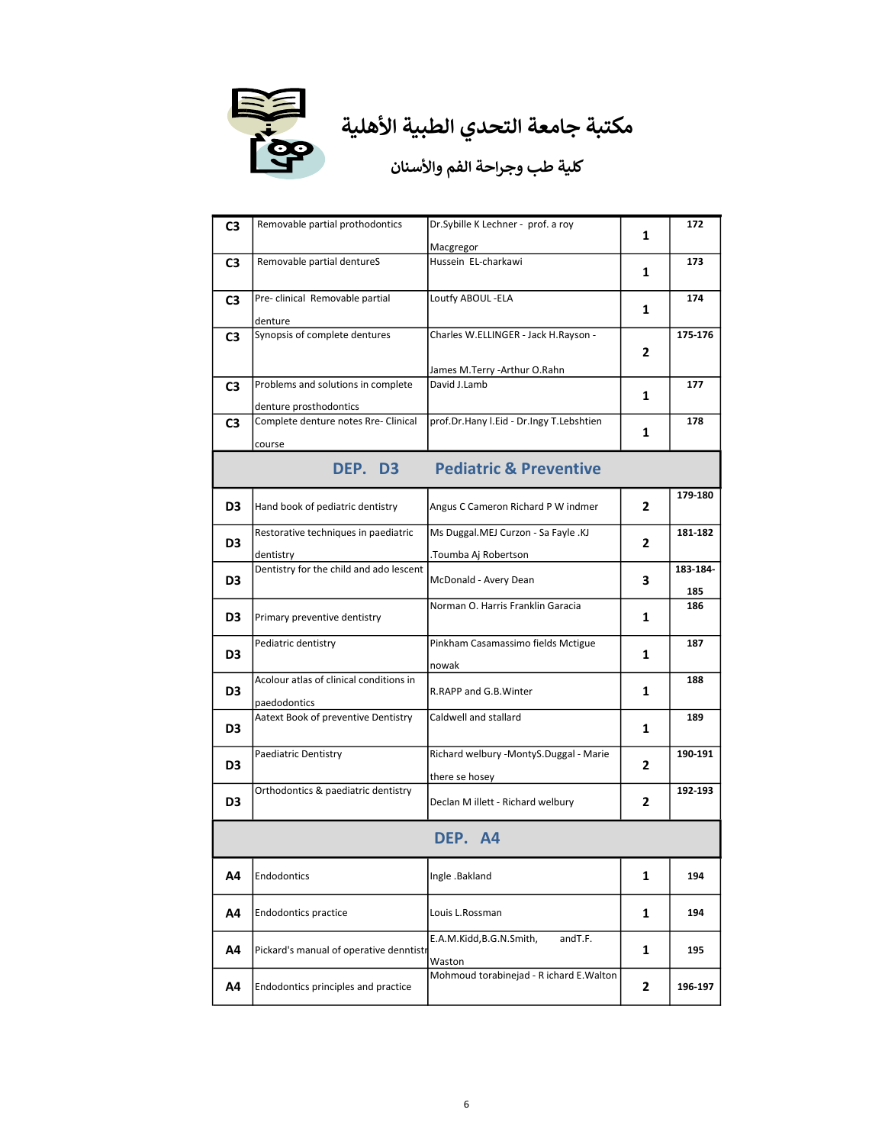

| C3             | Removable partial prothodontics                                | Dr.Sybille K Lechner - prof. a roy       |   | 172      |
|----------------|----------------------------------------------------------------|------------------------------------------|---|----------|
|                |                                                                | Macgregor                                | 1 |          |
| C3             | Removable partial dentureS                                     | Hussein EL-charkawi                      |   | 173      |
|                |                                                                |                                          | 1 |          |
| C3             | Pre-clinical Removable partial                                 | Loutfy ABOUL -ELA                        |   | 174      |
|                | denture                                                        |                                          | 1 |          |
| C3             | Synopsis of complete dentures                                  | Charles W.ELLINGER - Jack H.Rayson -     |   | 175-176  |
|                |                                                                |                                          | 2 |          |
|                |                                                                | James M.Terry -Arthur O.Rahn             |   |          |
| C3             | Problems and solutions in complete                             | David J.Lamb                             |   | 177      |
|                |                                                                |                                          | 1 |          |
| C3             | denture prosthodontics<br>Complete denture notes Rre- Clinical | prof.Dr.Hany I.Eid - Dr.Ingy T.Lebshtien |   | 178      |
|                |                                                                |                                          | 1 |          |
|                | course                                                         |                                          |   |          |
|                | DEP. D3                                                        | <b>Pediatric &amp; Preventive</b>        |   |          |
|                |                                                                |                                          |   | 179-180  |
| D <sub>3</sub> | Hand book of pediatric dentistry                               | Angus C Cameron Richard P W indmer       | 2 |          |
|                | Restorative techniques in paediatric                           | Ms Duggal.MEJ Curzon - Sa Fayle .KJ      |   | 181-182  |
| D <sub>3</sub> |                                                                |                                          | 2 |          |
|                | dentistry<br>Dentistry for the child and ado lescent           | .Toumba Aj Robertson                     |   | 183-184- |
| D3             |                                                                | McDonald - Avery Dean                    | 3 |          |
|                |                                                                | Norman O. Harris Franklin Garacia        |   | 185      |
| D3             | Primary preventive dentistry                                   |                                          | 1 | 186      |
|                |                                                                |                                          |   |          |
| D3             | Pediatric dentistry                                            | Pinkham Casamassimo fields Mctigue       | 1 | 187      |
|                |                                                                | nowak                                    |   |          |
| D3             | Acolour atlas of clinical conditions in                        | R.RAPP and G.B. Winter                   | 1 | 188      |
|                | paedodontics                                                   |                                          |   |          |
|                | Aatext Book of preventive Dentistry                            | Caldwell and stallard                    |   | 189      |
| D3             |                                                                |                                          | 1 |          |
|                | Paediatric Dentistry                                           | Richard welbury -MontyS.Duggal - Marie   |   | 190-191  |
| D3             |                                                                | there se hosey                           | 2 |          |
|                | Orthodontics & paediatric dentistry                            |                                          |   | 192-193  |
| D3             |                                                                | Declan M illett - Richard welbury        | 2 |          |
|                |                                                                | DEP. A4                                  |   |          |
|                |                                                                |                                          |   |          |
| Α4             | Endodontics                                                    | Ingle .Bakland                           | 1 | 194      |
|                |                                                                |                                          |   |          |
| Α4             | Endodontics practice                                           | Louis L.Rossman                          | 1 | 194      |
|                |                                                                |                                          |   |          |
| A4             | Pickard's manual of operative denntistr                        | E.A.M.Kidd,B.G.N.Smith,<br>andT.F.       | 1 | 195      |
|                |                                                                | Waston                                   |   |          |
|                |                                                                | Mohmoud torabinejad - R ichard E. Walton |   |          |
| Α4             | Endodontics principles and practice                            |                                          | 2 | 196-197  |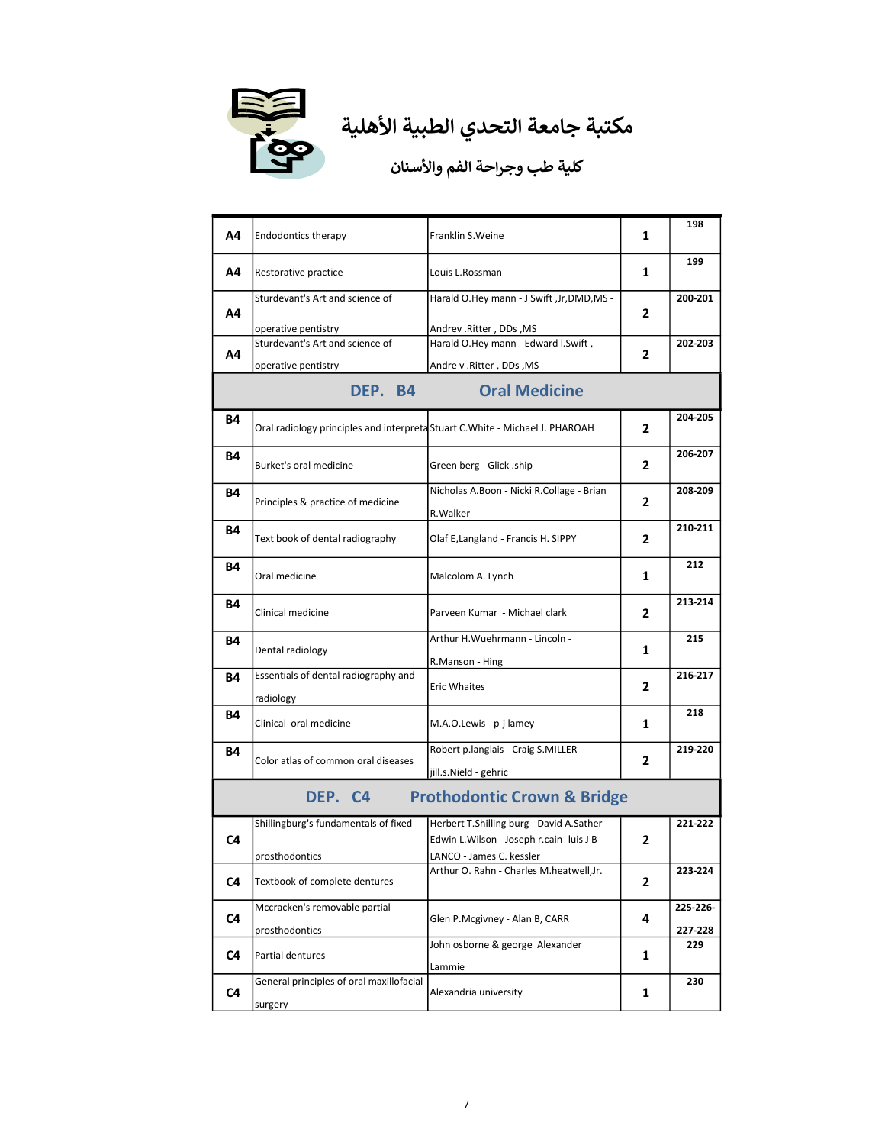

| Α4                              | <b>Endodontics therapy</b>                                                    | Franklin S. Weine                                                                                                    | 1 | 198                 |  |
|---------------------------------|-------------------------------------------------------------------------------|----------------------------------------------------------------------------------------------------------------------|---|---------------------|--|
| Α4                              | Restorative practice                                                          | Louis L.Rossman                                                                                                      | 1 | 199                 |  |
| Α4                              | Sturdevant's Art and science of<br>operative pentistry                        | Harald O.Hey mann - J Swift , Jr, DMD, MS -<br>Andrev.Ritter, DDs, MS                                                | 2 | 200-201             |  |
| Α4                              | Sturdevant's Art and science of<br>operative pentistry                        | Harald O.Hey mann - Edward I.Swift,-<br>Andre v . Ritter, DDs, MS                                                    | 2 | 202-203             |  |
| <b>Oral Medicine</b><br>DEP. B4 |                                                                               |                                                                                                                      |   |                     |  |
| B4                              | Oral radiology principles and interpreta Stuart C. White - Michael J. PHAROAH |                                                                                                                      | 2 | 204-205             |  |
| Β4                              | Burket's oral medicine                                                        | Green berg - Glick .ship                                                                                             | 2 | 206-207             |  |
| Β4                              | Principles & practice of medicine                                             | Nicholas A.Boon - Nicki R.Collage - Brian<br>R.Walker                                                                | 2 | 208-209             |  |
| B4                              | Text book of dental radiography                                               | Olaf E, Langland - Francis H. SIPPY                                                                                  | 2 | 210-211             |  |
| Β4                              | Oral medicine                                                                 | Malcolom A. Lynch                                                                                                    | 1 | 212                 |  |
| Β4                              | Clinical medicine                                                             | Parveen Kumar - Michael clark                                                                                        | 2 | 213-214             |  |
| Β4                              | Dental radiology                                                              | Arthur H. Wuehrmann - Lincoln -<br>R.Manson - Hing                                                                   | 1 | 215                 |  |
| B4                              | Essentials of dental radiography and<br>radiology                             | <b>Eric Whaites</b>                                                                                                  | 2 | 216-217             |  |
| B4                              | Clinical oral medicine                                                        | M.A.O.Lewis - p-j lamey                                                                                              | 1 | 218                 |  |
| B4                              | Color atlas of common oral diseases                                           | Robert p.langlais - Craig S.MILLER -<br>jill.s.Nield - gehric                                                        | 2 | 219-220             |  |
|                                 | DEP. C4                                                                       | <b>Prothodontic Crown &amp; Bridge</b>                                                                               |   |                     |  |
| C <sub>4</sub>                  | Shillingburg's fundamentals of fixed<br>prosthodontics                        | Herbert T.Shilling burg - David A.Sather -<br>Edwin L. Wilson - Joseph r. cain -luis J B<br>LANCO - James C. kessler | 2 | 221-222             |  |
| C4                              | Textbook of complete dentures                                                 | Arthur O. Rahn - Charles M.heatwell, Jr.                                                                             | 2 | 223-224             |  |
| C4                              | Mccracken's removable partial<br>prosthodontics                               | Glen P.Mcgivney - Alan B, CARR                                                                                       | 4 | 225-226-<br>227-228 |  |
| C4                              | Partial dentures                                                              | John osborne & george Alexander<br>Lammie                                                                            | 1 | 229                 |  |
| C4                              | General principles of oral maxillofacial<br>surgery                           | Alexandria university                                                                                                | 1 | 230                 |  |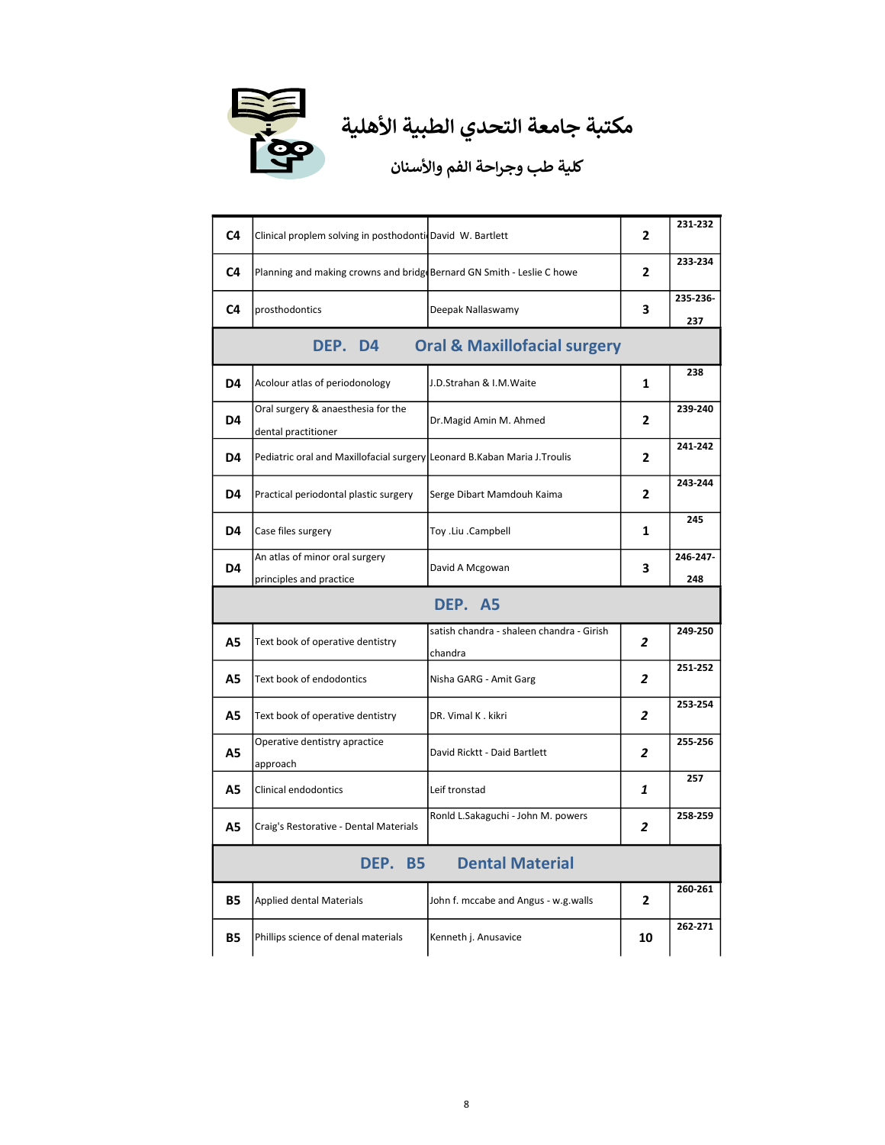

| C4        | Clinical proplem solving in posthodonti David W. Bartlett                |                                           | $\overline{2}$ | 231-232         |
|-----------|--------------------------------------------------------------------------|-------------------------------------------|----------------|-----------------|
| C4        | Planning and making crowns and bridg Bernard GN Smith - Leslie C howe    |                                           | 2              | 233-234         |
| C4        | prosthodontics                                                           | Deepak Nallaswamy                         | 3              | 235-236-<br>237 |
|           | DEP. D4                                                                  | <b>Oral &amp; Maxillofacial surgery</b>   |                |                 |
| D4        | Acolour atlas of periodonology                                           | J.D.Strahan & I.M.Waite                   | $\mathbf{1}$   | 238             |
| D4        | Oral surgery & anaesthesia for the<br>dental practitioner                | Dr.Magid Amin M. Ahmed                    | $\mathbf{2}$   | 239-240         |
| D4        | Pediatric oral and Maxillofacial surgery Leonard B.Kaban Maria J.Troulis |                                           | $\mathbf{2}$   | 241-242         |
| D4        | Practical periodontal plastic surgery                                    | Serge Dibart Mamdouh Kaima                | 2              | 243-244         |
| D4        | Case files surgery                                                       | Toy .Liu .Campbell                        | 1              | 245             |
| D4        | An atlas of minor oral surgery                                           | David A Mcgowan                           | 3              | 246-247-        |
|           | principles and practice                                                  |                                           |                | 248             |
|           |                                                                          | DEP. A5                                   |                |                 |
| A5        | Text book of operative dentistry                                         | satish chandra - shaleen chandra - Girish | 2              | 249-250         |
| А5        | Text book of endodontics                                                 | chandra<br>Nisha GARG - Amit Garg         | 2              | 251-252         |
| <b>A5</b> | Text book of operative dentistry                                         | DR. Vimal K. kikri                        | 2              | 253-254         |
| А5        | Operative dentistry apractice<br>approach                                | David Ricktt - Daid Bartlett              | 2              | 255-256         |
| А5        | Clinical endodontics                                                     | Leif tronstad                             | 1              | 257             |
| А5        | Craig's Restorative - Dental Materials                                   | Ronld L.Sakaguchi - John M. powers        | 2              | 258-259         |
|           | DEP. B5                                                                  | <b>Dental Material</b>                    |                |                 |
| B5        | <b>Applied dental Materials</b>                                          | John f. mccabe and Angus - w.g.walls      | 2              | 260-261         |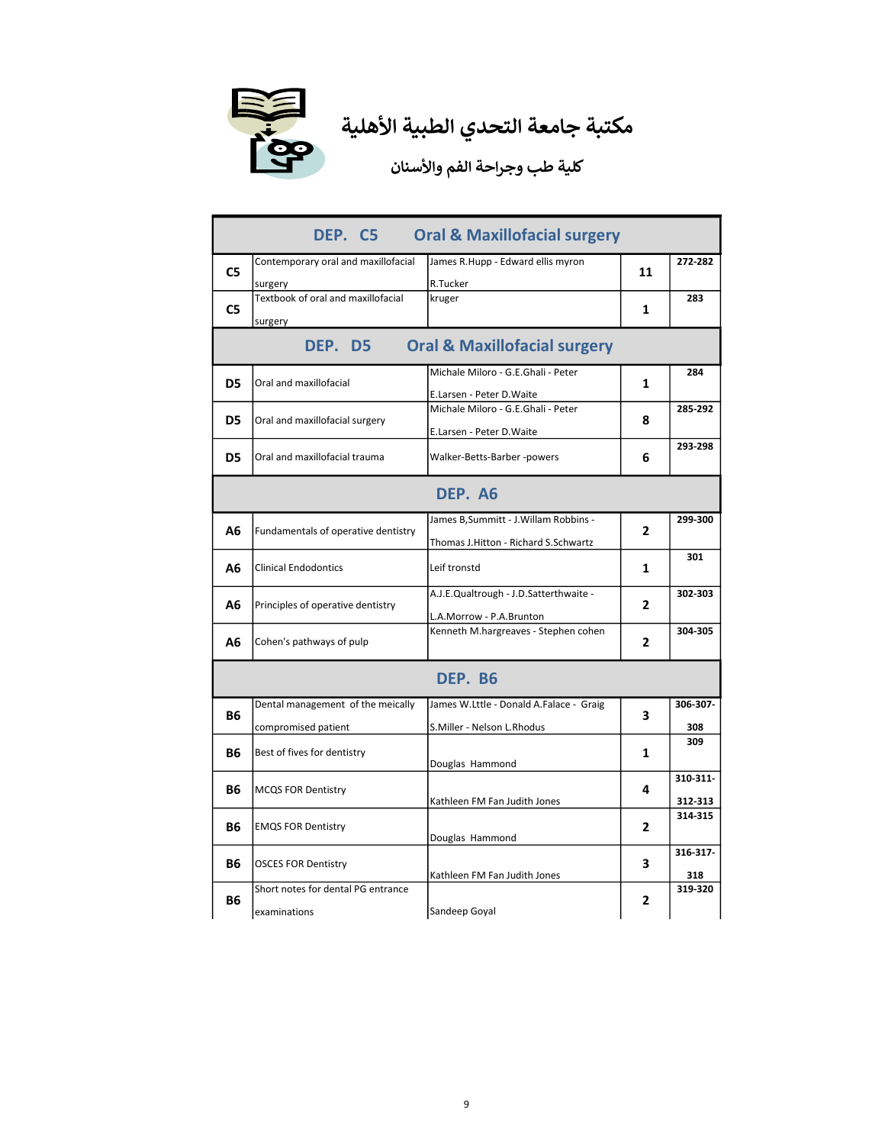

|                | DEP. C5                                                  | <b>Oral &amp; Maxillofacial surgery</b>                                        |                |                     |  |  |
|----------------|----------------------------------------------------------|--------------------------------------------------------------------------------|----------------|---------------------|--|--|
| C <sub>5</sub> | Contemporary oral and maxillofacial<br>surgery           | James R.Hupp - Edward ellis myron<br>R.Tucker                                  | 11             | 272-282             |  |  |
| C5             | Textbook of oral and maxillofacial<br>surgery            | kruger                                                                         | 1              | 283                 |  |  |
|                | <b>Oral &amp; Maxillofacial surgery</b><br>DEP. D5       |                                                                                |                |                     |  |  |
| D <sub>5</sub> | Oral and maxillofacial                                   | Michale Miloro - G.E.Ghali - Peter<br>E.Larsen - Peter D.Waite                 | 1              | 284                 |  |  |
| D5             | Oral and maxillofacial surgery                           | Michale Miloro - G.E.Ghali - Peter<br>E.Larsen - Peter D.Waite                 | 8              | 285-292             |  |  |
| D5             | Oral and maxillofacial trauma                            | Walker-Betts-Barber -powers                                                    | 6              | 293-298             |  |  |
|                |                                                          | DEP. A6                                                                        |                |                     |  |  |
| Α6             | Fundamentals of operative dentistry                      | James B, Summitt - J. Willam Robbins -<br>Thomas J.Hitton - Richard S.Schwartz | 2              | 299-300             |  |  |
| Α6             | <b>Clinical Endodontics</b>                              | Leif tronstd                                                                   | 1              | 301                 |  |  |
| Α6             | Principles of operative dentistry                        | A.J.E.Qualtrough - J.D.Satterthwaite -<br>L.A.Morrow - P.A.Brunton             | $\overline{2}$ | 302-303             |  |  |
| Α6             | Cohen's pathways of pulp                                 | Kenneth M.hargreaves - Stephen cohen                                           | $\overline{2}$ | 304-305             |  |  |
|                |                                                          | DEP. B6                                                                        |                |                     |  |  |
| <b>B6</b>      | Dental management of the meically<br>compromised patient | James W.Lttle - Donald A.Falace - Graig<br>S.Miller - Nelson L.Rhodus          | 3              | 306-307-<br>308     |  |  |
| В6             | Best of fives for dentistry                              | Douglas Hammond                                                                | 1              | 309                 |  |  |
| B6             | <b>MCQS FOR Dentistry</b>                                | Kathleen FM Fan Judith Jones                                                   | 4              | 310-311-<br>312-313 |  |  |
| <b>B6</b>      | <b>EMQS FOR Dentistry</b>                                | Douglas Hammond                                                                | $\mathbf{2}$   | 314-315             |  |  |
| <b>B6</b>      | <b>OSCES FOR Dentistry</b>                               | Kathleen FM Fan Judith Jones                                                   | 3              | 316-317-<br>318     |  |  |
| Β6             | Short notes for dental PG entrance<br>examinations       | Sandeep Goyal                                                                  | 2              | 319-320             |  |  |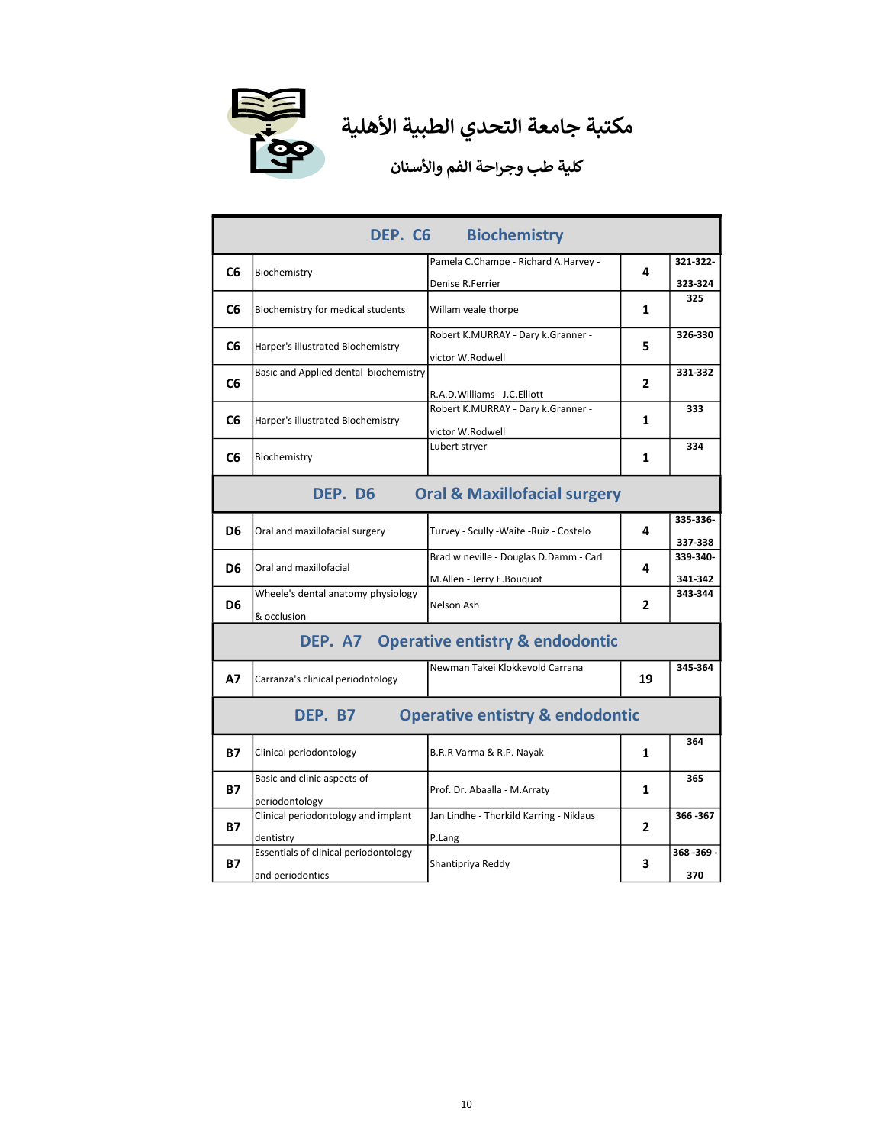

| DEP. C6<br><b>Biochemistry</b> |                                                           |                                                                                        |              |                      |
|--------------------------------|-----------------------------------------------------------|----------------------------------------------------------------------------------------|--------------|----------------------|
| C <sub>6</sub>                 | Biochemistry                                              | Pamela C.Champe - Richard A.Harvey -                                                   | 4            | 321-322-             |
|                                |                                                           | Denise R.Ferrier                                                                       |              | 323-324              |
| C6                             | Biochemistry for medical students                         | Willam veale thorpe                                                                    | 1            | 325                  |
| C6                             | Harper's illustrated Biochemistry                         | Robert K.MURRAY - Dary k.Granner -<br>victor W.Rodwell                                 | 5            | 326-330              |
| C6                             | Basic and Applied dental biochemistry                     |                                                                                        | 2            | 331-332              |
| C6                             | Harper's illustrated Biochemistry                         | R.A.D.Williams - J.C.Elliott<br>Robert K.MURRAY - Dary k.Granner -<br>victor W.Rodwell | 1            | 333                  |
| C6                             | Biochemistry                                              | Lubert stryer                                                                          | 1            | 334                  |
|                                | DEP. D6                                                   | <b>Oral &amp; Maxillofacial surgery</b>                                                |              |                      |
| D6                             | Oral and maxillofacial surgery                            | Turvey - Scully -Waite -Ruiz - Costelo                                                 | 4            | 335-336-<br>337-338  |
| D6                             | Oral and maxillofacial                                    | Brad w.neville - Douglas D.Damm - Carl<br>M.Allen - Jerry E.Bouquot                    | 4            | 339-340-<br>341-342  |
| D6                             | Wheele's dental anatomy physiology<br>& occlusion         | Nelson Ash                                                                             | 2            | 343-344              |
|                                |                                                           | DEP. A7 Operative entistry & endodontic                                                |              |                      |
| <b>A7</b>                      | Carranza's clinical periodntology                         | Newman Takei Klokkevold Carrana                                                        | 19           | 345-364              |
|                                | DEP. B7                                                   | <b>Operative entistry &amp; endodontic</b>                                             |              |                      |
| <b>B7</b>                      | Clinical periodontology                                   | B.R.R Varma & R.P. Nayak                                                               | 1            | 364                  |
| B7                             | Basic and clinic aspects of<br>periodontology             | Prof. Dr. Abaalla - M.Arraty                                                           | 1            | 365                  |
| <b>B7</b>                      | Clinical periodontology and implant<br>dentistry          | Jan Lindhe - Thorkild Karring - Niklaus<br>P.Lang                                      | $\mathbf{z}$ | 366-367              |
| В7                             | Essentials of clinical periodontology<br>and periodontics | Shantipriya Reddy                                                                      | з            | $368 - 369 -$<br>370 |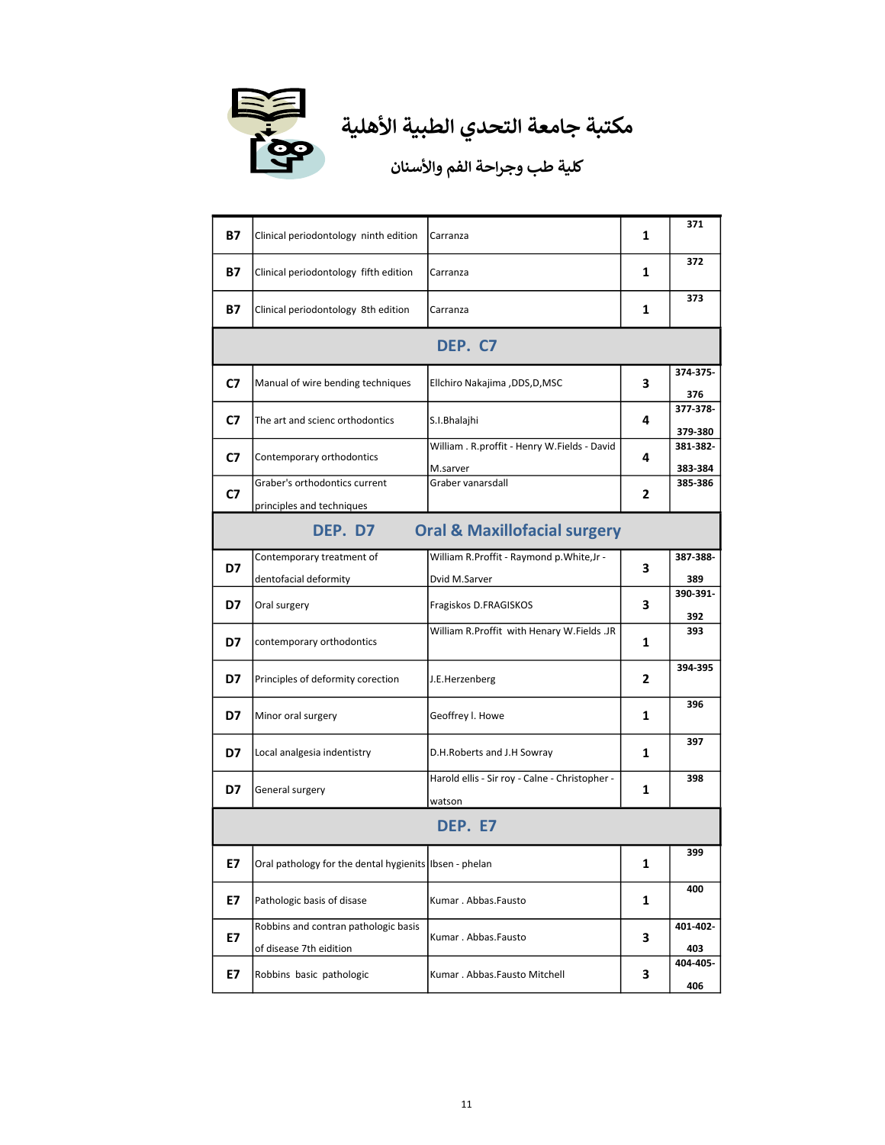

| B7      | Clinical periodontology ninth edition                           | Carranza                                                  | 1 | 371                 |  |
|---------|-----------------------------------------------------------------|-----------------------------------------------------------|---|---------------------|--|
| B7      | Clinical periodontology fifth edition                           | Carranza                                                  | 1 | 372                 |  |
| B7      | Clinical periodontology 8th edition                             | Carranza                                                  | 1 | 373                 |  |
| DEP. C7 |                                                                 |                                                           |   |                     |  |
| C7      | Manual of wire bending techniques                               | Ellchiro Nakajima ,DDS,D,MSC                              | 3 | 374-375-<br>376     |  |
| C7      | The art and scienc orthodontics                                 | S.I.Bhalajhi                                              | 4 | 377-378-<br>379-380 |  |
| C7      | Contemporary orthodontics                                       | William . R.proffit - Henry W.Fields - David<br>M.sarver  | 4 | 381-382-<br>383-384 |  |
| C7      | Graber's orthodontics current<br>principles and techniques      | Graber vanarsdall                                         | 2 | 385-386             |  |
|         | DEP. D7                                                         | <b>Oral &amp; Maxillofacial surgery</b>                   |   |                     |  |
| D7      | Contemporary treatment of<br>dentofacial deformity              | William R.Proffit - Raymond p.White,Jr -<br>Dvid M.Sarver | 3 | 387-388-<br>389     |  |
| D7      | Oral surgery                                                    | Fragiskos D.FRAGISKOS                                     | 3 | 390-391-<br>392     |  |
| D7      | contemporary orthodontics                                       | William R.Proffit with Henary W.Fields .JR                | 1 | 393                 |  |
| D7      | Principles of deformity corection                               | J.E.Herzenberg                                            | 2 | 394-395             |  |
| D7      | Minor oral surgery                                              | Geoffrey I. Howe                                          | 1 | 396                 |  |
| D7      | Local analgesia indentistry                                     | D.H.Roberts and J.H Sowray                                | 1 | 397                 |  |
| D7      | General surgery                                                 | Harold ellis - Sir roy - Calne - Christopher -<br>watson  | 1 | 398                 |  |
|         |                                                                 | DEP. E7                                                   |   |                     |  |
| Е7      | Oral pathology for the dental hygienits lbsen - phelan          |                                                           | 1 | 399                 |  |
| E7      | Pathologic basis of disase                                      | Kumar. Abbas. Fausto                                      | 1 | 400                 |  |
| E7      | Robbins and contran pathologic basis<br>of disease 7th eidition | Kumar. Abbas.Fausto                                       | 3 | 401-402-<br>403     |  |
| Е7      | Robbins basic pathologic                                        | Kumar . Abbas.Fausto Mitchell                             | 3 | 404-405-<br>406     |  |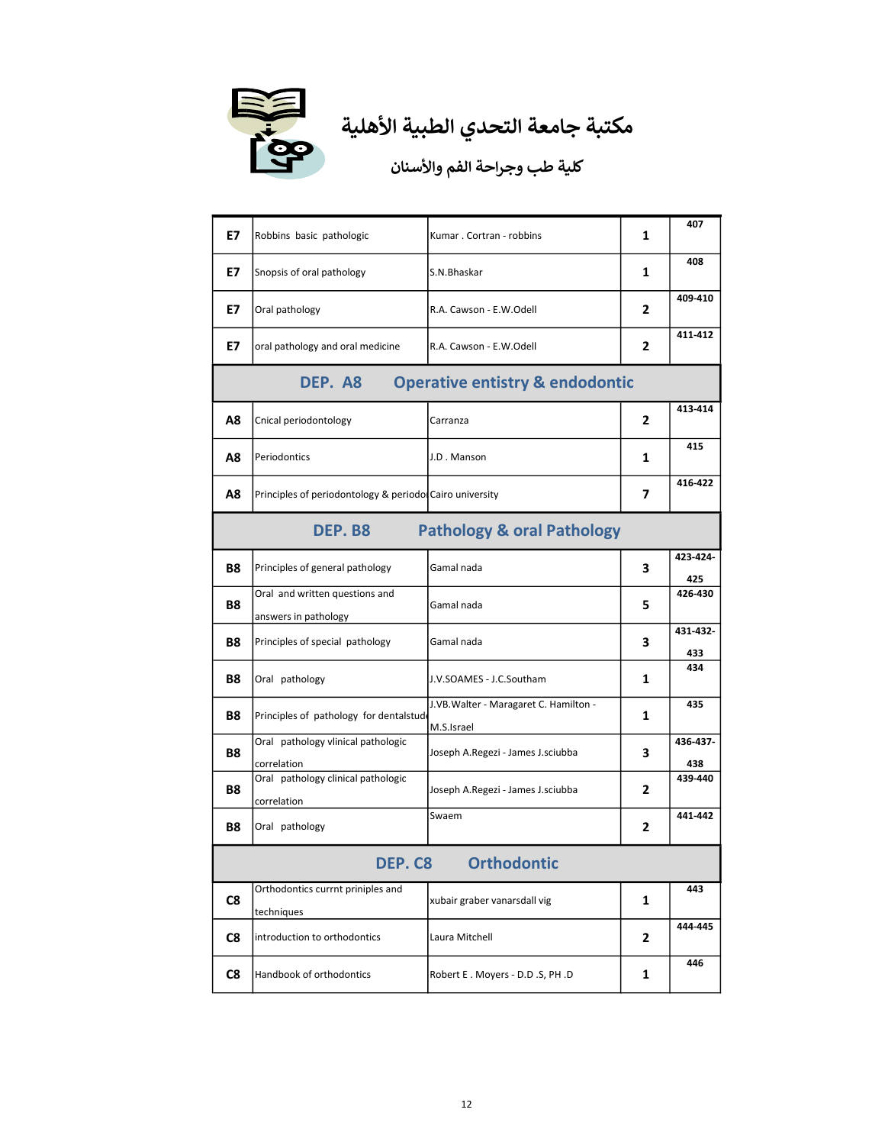

| E7 | Robbins basic pathologic                                 | Kumar . Cortran - robbins                           | 1 | 407             |  |  |
|----|----------------------------------------------------------|-----------------------------------------------------|---|-----------------|--|--|
| E7 | Snopsis of oral pathology                                | S.N.Bhaskar                                         | 1 | 408             |  |  |
| E7 | Oral pathology                                           | R.A. Cawson - E.W.Odell                             | 2 | 409-410         |  |  |
| E7 | oral pathology and oral medicine                         | R.A. Cawson - E.W.Odell                             | 2 | 411-412         |  |  |
|    | DEP. A8<br><b>Operative entistry &amp; endodontic</b>    |                                                     |   |                 |  |  |
| Α8 | Cnical periodontology                                    | Carranza                                            | 2 | 413-414         |  |  |
| Α8 | Periodontics                                             | J.D. Manson                                         | 1 | 415             |  |  |
| Α8 | Principles of periodontology & periodol Cairo university |                                                     | 7 | 416-422         |  |  |
|    | DEP. B8                                                  | <b>Pathology &amp; oral Pathology</b>               |   |                 |  |  |
| Β8 | Principles of general pathology                          | Gamal nada                                          | 3 | 423-424-<br>425 |  |  |
| Β8 | Oral and written questions and<br>answers in pathology   | Gamal nada                                          | 5 | 426-430         |  |  |
| Β8 | Principles of special pathology                          | Gamal nada                                          | 3 | 431-432-<br>433 |  |  |
| Β8 | Oral pathology                                           | J.V.SOAMES - J.C.Southam                            | 1 | 434             |  |  |
| Β8 | Principles of pathology for dentalstud                   | J.VB.Walter - Maragaret C. Hamilton -<br>M.S.Israel | 1 | 435             |  |  |
| Β8 | Oral pathology vlinical pathologic<br>correlation        | Joseph A.Regezi - James J.sciubba                   | 3 | 436-437-<br>438 |  |  |
| Β8 | Oral pathology clinical pathologic<br>correlation        | Joseph A.Regezi - James J.sciubba                   | 2 | 439-440         |  |  |
| Β8 | Oral pathology                                           | Swaem                                               | 2 | 441-442         |  |  |
|    | <b>DEP. C8 Orthodontic</b>                               |                                                     |   |                 |  |  |
| C8 | Orthodontics currnt priniples and<br>techniques          | xubair graber vanarsdall vig                        | 1 | 443             |  |  |
| C8 | introduction to orthodontics                             | Laura Mitchell                                      | 2 | 444-445         |  |  |
| C8 | Handbook of orthodontics                                 | Robert E. Moyers - D.D.S, PH.D                      | 1 | 446             |  |  |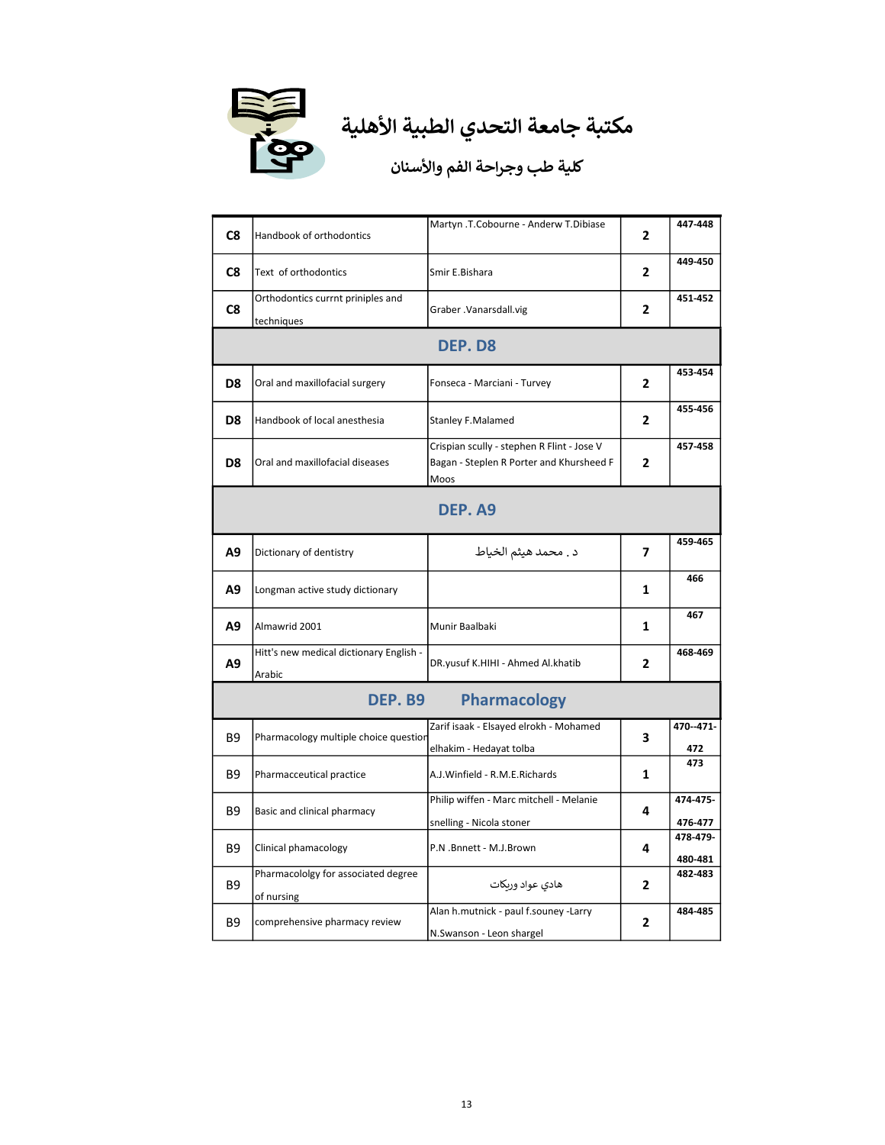

| C8                             | Handbook of orthodontics                          | Martyn .T.Cobourne - Anderw T.Dibiase                                                          | 2            | 447-448             |
|--------------------------------|---------------------------------------------------|------------------------------------------------------------------------------------------------|--------------|---------------------|
| C8                             | Text of orthodontics                              | Smir E.Bishara                                                                                 | 2            | 449-450             |
| C8                             | Orthodontics currnt priniples and<br>techniques   | Graber .Vanarsdall.vig                                                                         | 2            | 451-452             |
|                                | DEP. D8                                           |                                                                                                |              |                     |
| D8                             | Oral and maxillofacial surgery                    | Fonseca - Marciani - Turvey                                                                    | 2            | 453-454             |
| D8                             | Handbook of local anesthesia                      | <b>Stanley F.Malamed</b>                                                                       | 2            | 455-456             |
| D8                             | Oral and maxillofacial diseases                   | Crispian scully - stephen R Flint - Jose V<br>Bagan - Steplen R Porter and Khursheed F<br>Moos | $\mathbf{2}$ | 457-458             |
| DEP. A9                        |                                                   |                                                                                                |              |                     |
| A <sub>9</sub>                 | Dictionary of dentistry                           | د . محمد هيثم الخياط                                                                           | 7            | 459-465             |
| Α9                             | Longman active study dictionary                   |                                                                                                | 1            | 466                 |
| A9                             | Almawrid 2001                                     | Munir Baalbaki                                                                                 | 1            | 467                 |
| A9                             | Hitt's new medical dictionary English -<br>Arabic | DR.yusuf K.HIHI - Ahmed Al.khatib                                                              | 2            | 468-469             |
| DEP. B9<br><b>Pharmacology</b> |                                                   |                                                                                                |              |                     |
| <b>B9</b>                      | Pharmacology multiple choice questior             | Zarif isaak - Elsayed elrokh - Mohamed<br>elhakim - Hedayat tolba                              | 3            | 470--471-<br>472    |
| <b>B9</b>                      | Pharmacceutical practice                          | A.J.Winfield - R.M.E.Richards                                                                  | 1            | 473                 |
| <b>B9</b>                      | Basic and clinical pharmacy                       | Philip wiffen - Marc mitchell - Melanie<br>snelling - Nicola stoner                            | 4            | 474-475-<br>476-477 |
| <b>B9</b>                      | Clinical phamacology                              | P.N .Bnnett - M.J.Brown                                                                        | 4            | 478-479-<br>480-481 |
| B <sub>9</sub>                 | Pharmacololgy for associated degree<br>of nursing | هادي عواد وربكات                                                                               | 2            | 482-483             |
| <b>B9</b>                      | comprehensive pharmacy review                     | Alan h.mutnick - paul f.souney -Larry<br>N.Swanson - Leon shargel                              | 2            | 484-485             |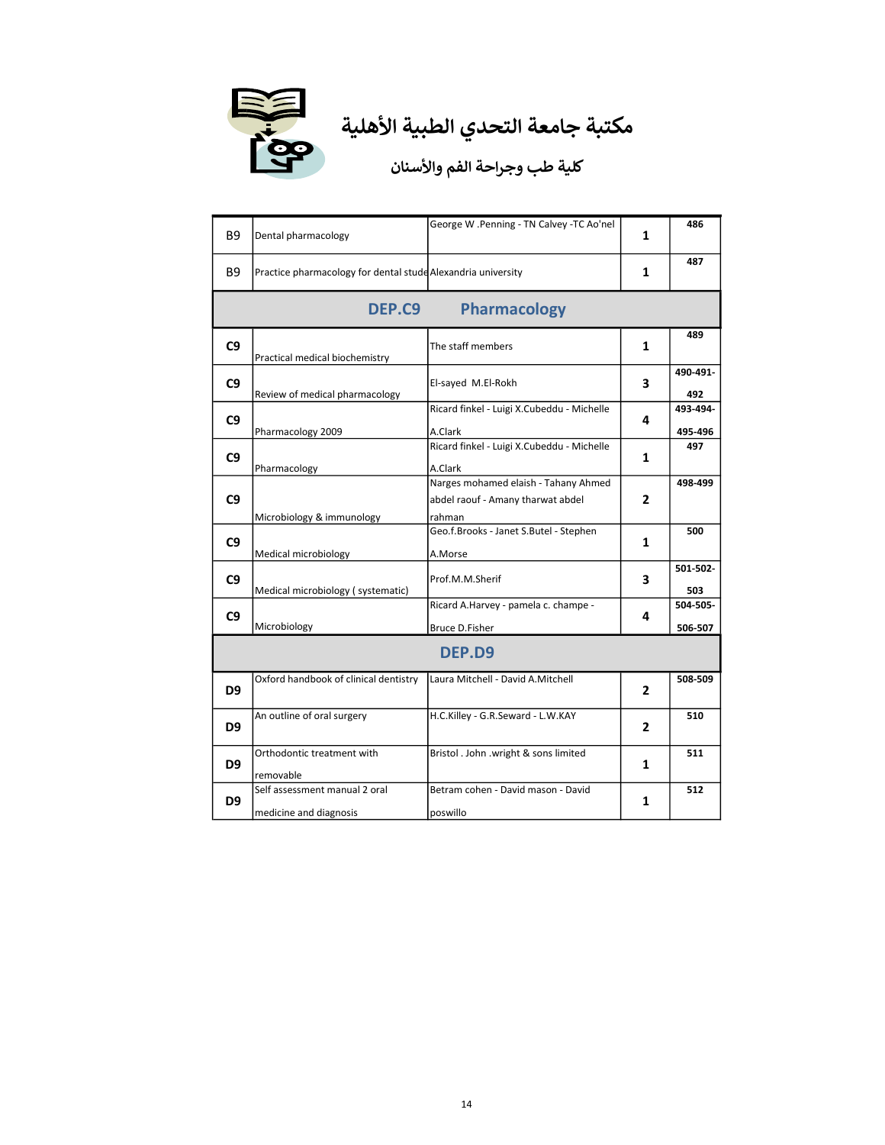

| <b>B</b> 9     | Dental pharmacology                                          | George W .Penning - TN Calvey -TC Ao'nel                                            | 1              | 486                 |
|----------------|--------------------------------------------------------------|-------------------------------------------------------------------------------------|----------------|---------------------|
| B9             | Practice pharmacology for dental stude Alexandria university |                                                                                     | 1              | 487                 |
|                | DEP.C9                                                       | <b>Pharmacology</b>                                                                 |                |                     |
| C <sub>9</sub> | Practical medical biochemistry                               | The staff members                                                                   | 1              | 489                 |
| C <sub>9</sub> | Review of medical pharmacology                               | El-sayed M.El-Rokh                                                                  | 3              | 490-491-<br>492     |
| C <sub>9</sub> | Pharmacology 2009                                            | Ricard finkel - Luigi X.Cubeddu - Michelle<br>A.Clark                               | 4              | 493-494-<br>495-496 |
| C <sub>9</sub> | Pharmacology                                                 | Ricard finkel - Luigi X.Cubeddu - Michelle<br>A.Clark                               | 1              | 497                 |
| C <sub>9</sub> | Microbiology & immunology                                    | Narges mohamed elaish - Tahany Ahmed<br>abdel raouf - Amany tharwat abdel<br>rahman | 2              | 498-499             |
| C <sub>9</sub> | Medical microbiology                                         | Geo.f.Brooks - Janet S.Butel - Stephen<br>A.Morse                                   | 1              | 500                 |
| C <sub>9</sub> | Medical microbiology (systematic)                            | Prof.M.M.Sherif                                                                     | 3              | 501-502-<br>503     |
| C <sub>9</sub> | Microbiology                                                 | Ricard A.Harvey - pamela c. champe -<br><b>Bruce D.Fisher</b>                       | 4              | 504-505-<br>506-507 |
| DEP.D9         |                                                              |                                                                                     |                |                     |
| D9             | Oxford handbook of clinical dentistry                        | Laura Mitchell - David A.Mitchell                                                   | $\overline{2}$ | 508-509             |
| D9             | An outline of oral surgery                                   | H.C.Killey - G.R.Seward - L.W.KAY                                                   | 2              | 510                 |
| D9             | Orthodontic treatment with<br>removable                      | Bristol . John .wright & sons limited                                               | 1              | 511                 |
| D9             | Self assessment manual 2 oral<br>medicine and diagnosis      | Betram cohen - David mason - David<br>poswillo                                      | 1              | 512                 |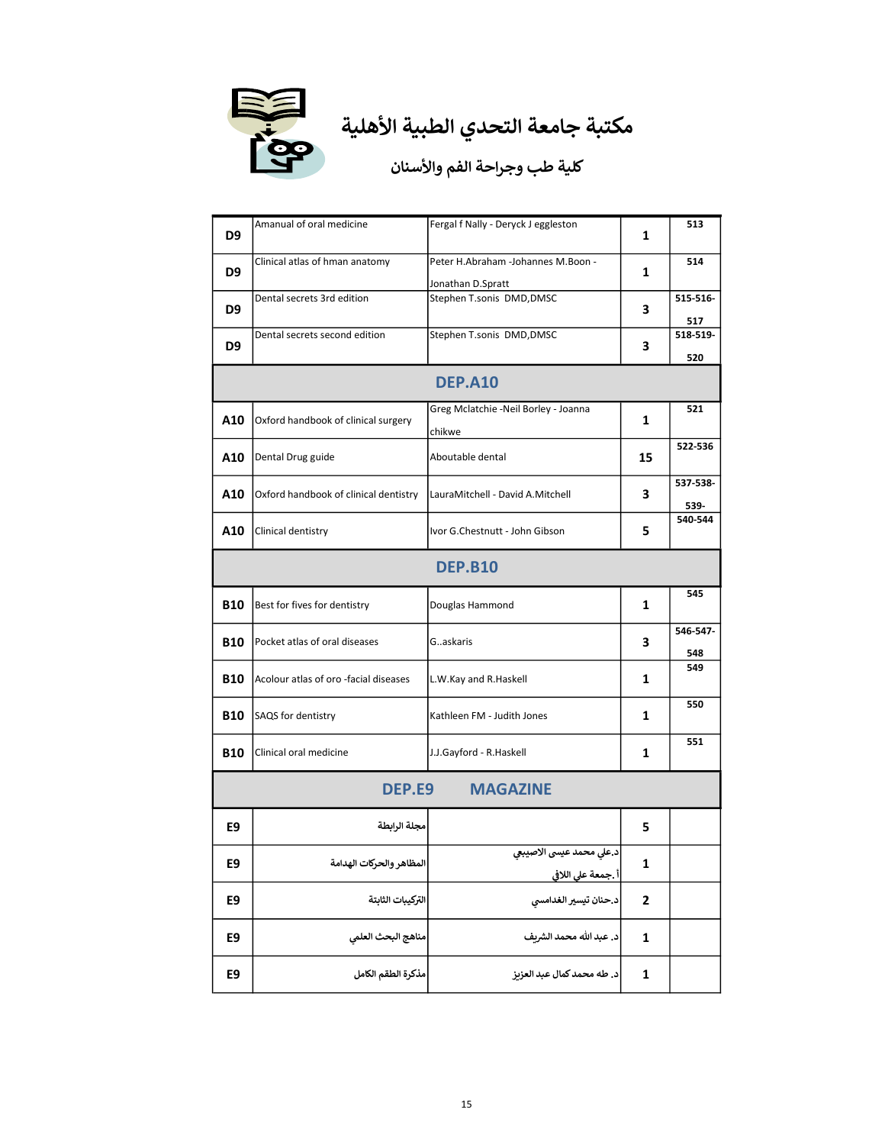

| D9                        | Amanual of oral medicine              | Fergal f Nally - Deryck J eggleston                     | 1                       | 513              |
|---------------------------|---------------------------------------|---------------------------------------------------------|-------------------------|------------------|
| D9                        | Clinical atlas of hman anatomy        | Peter H.Abraham -Johannes M.Boon -<br>Jonathan D.Spratt | 1                       | 514              |
| D9                        | Dental secrets 3rd edition            | Stephen T.sonis DMD, DMSC                               | 3                       | 515-516-<br>517  |
| D9                        | Dental secrets second edition         | Stephen T.sonis DMD, DMSC                               | 3                       | 518-519-<br>520  |
|                           |                                       | <b>DEP.A10</b>                                          |                         |                  |
| A10                       | Oxford handbook of clinical surgery   | Greg Mclatchie -Neil Borley - Joanna<br>chikwe          | 1                       | 521              |
| A10                       | Dental Drug guide                     | Aboutable dental                                        | 15                      | 522-536          |
| A10                       | Oxford handbook of clinical dentistry | LauraMitchell - David A.Mitchell                        | 3                       | 537-538-<br>539- |
| A10                       | Clinical dentistry                    | Ivor G.Chestnutt - John Gibson                          | 5                       | 540-544          |
| <b>DEP.B10</b>            |                                       |                                                         |                         |                  |
| <b>B10</b>                | Best for fives for dentistry          | Douglas Hammond                                         | 1                       | 545              |
| <b>B10</b>                | Pocket atlas of oral diseases         | Gaskaris                                                | 3                       | 546-547-<br>548  |
| <b>B10</b>                | Acolour atlas of oro -facial diseases | L.W.Kay and R.Haskell                                   | 1                       | 549              |
| <b>B10</b>                | SAQS for dentistry                    | Kathleen FM - Judith Jones                              | 1                       | 550              |
| <b>B10</b>                | Clinical oral medicine                | J.J.Gayford - R.Haskell                                 | 1                       | 551              |
| DEP.E9<br><b>MAGAZINE</b> |                                       |                                                         |                         |                  |
| E9                        | مجلة الرابطة                          |                                                         | 5.                      |                  |
| E9                        | المظاهر والحركات الهدامة              | د.على محمد عيسى الاصيبعي<br>أ .جمعة على اللافي          | 1                       |                  |
| E9                        | التركيبات الثابتة                     | د.حنان تيسير الغدامسي                                   | $\overline{\mathbf{c}}$ |                  |
| E9                        | مناهج البحث العلمى                    | د. عبد الله محمد الشريف                                 | 1                       |                  |
| E9                        | مذكرة الطقم الكامل                    | د. طه محمد كمال عبد العزيز                              | 1                       |                  |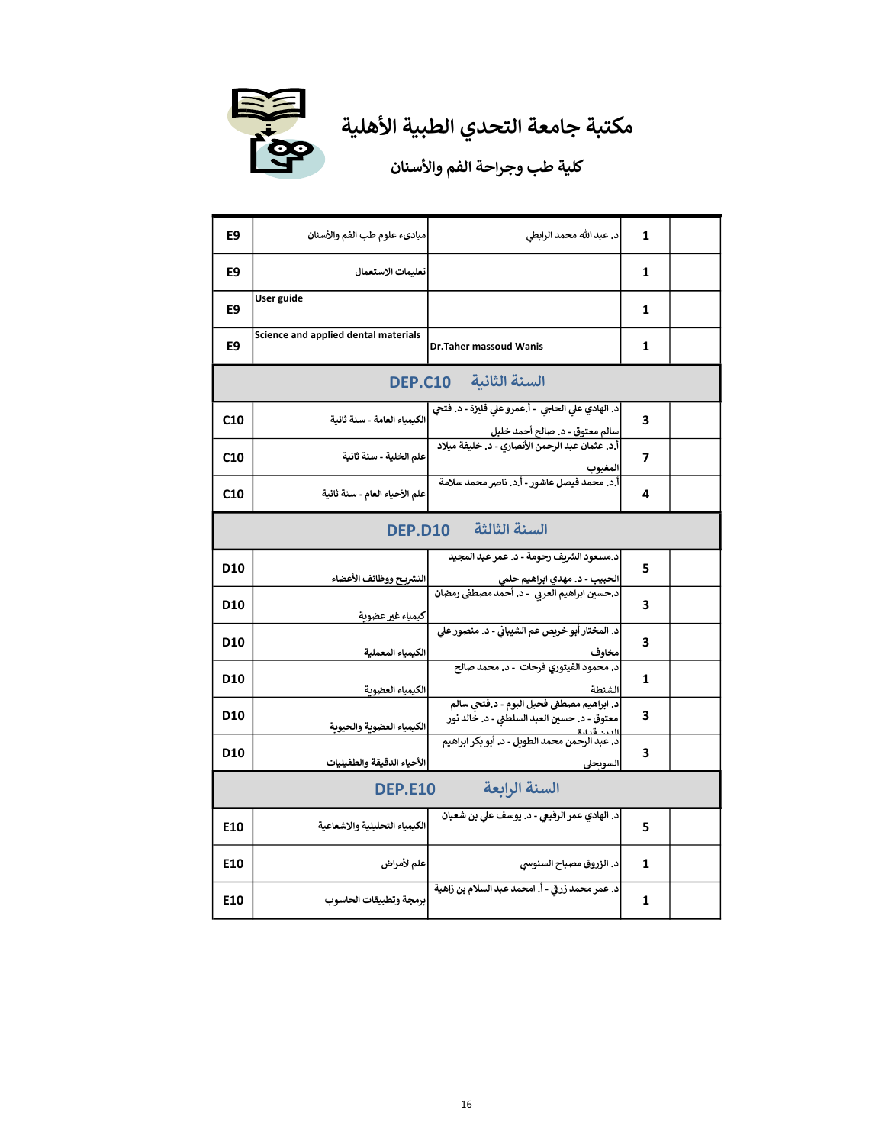

# مكتبة جامعة التحدي الطبية الأهلية<br>محتبة جامعة التحدي الطبية الأهلية

| E9                              | مبادىء علوم طب الفم والأسنان         | د. عبد الله محمد الرابطي                                                                                                                             | 1 |  |
|---------------------------------|--------------------------------------|------------------------------------------------------------------------------------------------------------------------------------------------------|---|--|
| E9                              | تعليمات الاستعمال                    |                                                                                                                                                      | 1 |  |
| E9                              | User guide                           |                                                                                                                                                      | 1 |  |
| E9                              | Science and applied dental materials | Dr.Taher massoud Wanis                                                                                                                               | 1 |  |
|                                 |                                      | السنة الثانية DEP.C10                                                                                                                                |   |  |
| C <sub>10</sub>                 | الكيمياء العامة - سنة ثانية          | د. الهادي على الحاجي  - أ.عمرو على قليزة - د. فتحي<br>سالم <mark>معتوق - د. صالح أحمد خليل</mark><br>أ.د. عثمان عبد الرحمن الأنصاري - د. خليفة ميلاد | 3 |  |
| C10                             | علم الخلية - سنة ثانية               | المغبوب                                                                                                                                              | 7 |  |
| C <sub>10</sub>                 | علم الأحياء العام - سنة ثانية        | أ.د. محمد فيصل عاشور - أ.د. ناصر محمد سلامة                                                                                                          | 4 |  |
|                                 |                                      | السنة الثالثة DEP.D10                                                                                                                                |   |  |
| D10                             | التشريح ووظائف الأعضاء               | د.مسعود الشريف رحومة - د. عمر عبد المجيد                                                                                                             | 5 |  |
| D10                             | كيمياء غير عضوية                     | الحبيب - د. مهدي ابراهيم حلمي<br>د.حسين ابراهيم العربي  - د. أحمد مصطفى رمضان                                                                        | 3 |  |
| D10                             | الكيمياء المعملية                    | د. المختار أبو خريص عم الشيباني - د. منصور على<br>مخاوف                                                                                              | 3 |  |
| D10                             | الكيمياء العضوية                     | د. محمود الفيتوري فرحات  - د. محمد صالح<br>الشنطة                                                                                                    | 1 |  |
| D10                             | الكيمياء العضوية والحيوية            | د. ابراهيم مصطفى فحيل البوم - د.فتحي سالم<br>معتوق - د. حسين العبد السلطني - د. خالد نور                                                             | 3 |  |
| D10                             | الأحياء الدقيقة والطفيليات           | د. عبد الرحمن محمد الطويل - د. أبو بكر ابراهيم<br>السويحلى                                                                                           | 3 |  |
| السنة الرابعة<br><b>DEP.E10</b> |                                      |                                                                                                                                                      |   |  |
| E10                             | الكيمياء التحليلية والاشعاعية        | د. الهادي عمر الرقيعي - د. يوسف علي بن شعبان                                                                                                         | 5 |  |
| E10                             | علم لأمراض                           | د. الزروق مصباح السنوسي                                                                                                                              | 1 |  |
| E10                             | برمجة وتطبيقات الحاسوب               | د. عمر محمد زرقى - أ. امحمد عبد السلام بن زاهية                                                                                                      | 1 |  |